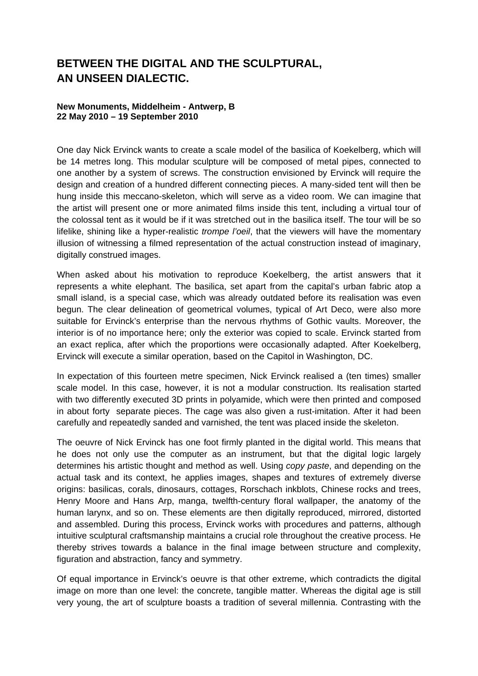## **BETWEEN THE DIGITAL AND THE SCULPTURAL, AN UNSEEN DIALECTIC.**

## **New Monuments, Middelheim - Antwerp, B 22 May 2010 – 19 September 2010**

One day Nick Ervinck wants to create a scale model of the basilica of Koekelberg, which will be 14 metres long. This modular sculpture will be composed of metal pipes, connected to one another by a system of screws. The construction envisioned by Ervinck will require the design and creation of a hundred different connecting pieces. A many-sided tent will then be hung inside this meccano-skeleton, which will serve as a video room. We can imagine that the artist will present one or more animated films inside this tent, including a virtual tour of the colossal tent as it would be if it was stretched out in the basilica itself. The tour will be so lifelike, shining like a hyper-realistic *trompe l'oeil*, that the viewers will have the momentary illusion of witnessing a filmed representation of the actual construction instead of imaginary, digitally construed images.

When asked about his motivation to reproduce Koekelberg, the artist answers that it represents a white elephant. The basilica, set apart from the capital's urban fabric atop a small island, is a special case, which was already outdated before its realisation was even begun. The clear delineation of geometrical volumes, typical of Art Deco, were also more suitable for Ervinck's enterprise than the nervous rhythms of Gothic vaults. Moreover, the interior is of no importance here; only the exterior was copied to scale. Ervinck started from an exact replica, after which the proportions were occasionally adapted. After Koekelberg, Ervinck will execute a similar operation, based on the Capitol in Washington, DC.

In expectation of this fourteen metre specimen, Nick Ervinck realised a (ten times) smaller scale model. In this case, however, it is not a modular construction. Its realisation started with two differently executed 3D prints in polyamide, which were then printed and composed in about forty separate pieces. The cage was also given a rust-imitation. After it had been carefully and repeatedly sanded and varnished, the tent was placed inside the skeleton.

The oeuvre of Nick Ervinck has one foot firmly planted in the digital world. This means that he does not only use the computer as an instrument, but that the digital logic largely determines his artistic thought and method as well. Using *copy paste*, and depending on the actual task and its context, he applies images, shapes and textures of extremely diverse origins: basilicas, corals, dinosaurs, cottages, Rorschach inkblots, Chinese rocks and trees, Henry Moore and Hans Arp, manga, twelfth-century floral wallpaper, the anatomy of the human larynx, and so on. These elements are then digitally reproduced, mirrored, distorted and assembled. During this process, Ervinck works with procedures and patterns, although intuitive sculptural craftsmanship maintains a crucial role throughout the creative process. He thereby strives towards a balance in the final image between structure and complexity, figuration and abstraction, fancy and symmetry.

Of equal importance in Ervinck's oeuvre is that other extreme, which contradicts the digital image on more than one level: the concrete, tangible matter. Whereas the digital age is still very young, the art of sculpture boasts a tradition of several millennia. Contrasting with the